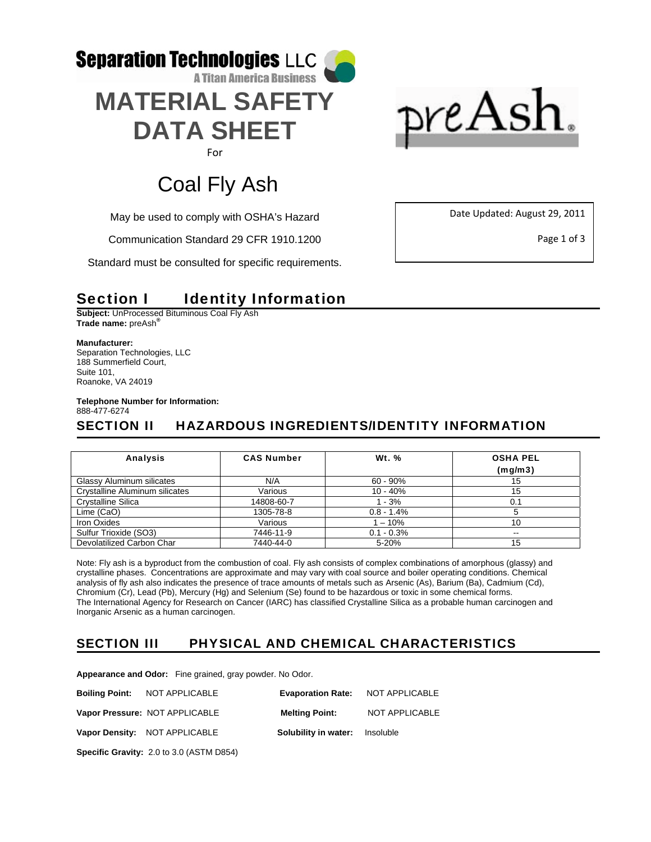



# Coal Fly Ash

May be used to comply with OSHA's Hazard

Communication Standard 29 CFR 1910.1200

Standard must be consulted for specific requirements.

Date Updated: August 29, 2011

Page 1 of 3

# Section I ldentity Information

**Subject:** UnProcessed Bituminous Coal Fly Ash **Trade name:** preAsh**®**

**Manufacturer:** 

Separation Technologies, LLC 188 Summerfield Court, Suite 101, Roanoke, VA 24019

**Telephone Number for Information:**  888-477-6274

# SECTION II HAZARDOUS INGREDIENTS/IDENTITY INFORMATION

| <b>Analysis</b>                | <b>CAS Number</b> | <b>Wt. %</b>  | <b>OSHA PEL</b><br>(mq/m3) |
|--------------------------------|-------------------|---------------|----------------------------|
| Glassy Aluminum silicates      | N/A               | $60 - 90\%$   | 15                         |
| Crystalline Aluminum silicates | Various           | $10 - 40%$    | 15                         |
| <b>Crystalline Silica</b>      | 14808-60-7        | $1 - 3%$      | 0.1                        |
| Lime (CaO)                     | 1305-78-8         | $0.8 - 1.4%$  |                            |
| Iron Oxides                    | Various           | $-10%$        | 10                         |
| Sulfur Trioxide (SO3)          | 7446-11-9         | $0.1 - 0.3\%$ | $\sim$ $\sim$              |
| Devolatilized Carbon Char      | 7440-44-0         | 5-20%         | 15                         |

Note: Fly ash is a byproduct from the combustion of coal. Fly ash consists of complex combinations of amorphous (glassy) and crystalline phases. Concentrations are approximate and may vary with coal source and boiler operating conditions. Chemical analysis of fly ash also indicates the presence of trace amounts of metals such as Arsenic (As), Barium (Ba), Cadmium (Cd), Chromium (Cr), Lead (Pb), Mercury (Hg) and Selenium (Se) found to be hazardous or toxic in some chemical forms. The International Agency for Research on Cancer (IARC) has classified Crystalline Silica as a probable human carcinogen and Inorganic Arsenic as a human carcinogen.

## SECTION III PHYSICAL AND CHEMICAL CHARACTERISTICS

**Appearance and Odor:** Fine grained, gray powder. No Odor.

|                                                 | <b>Boiling Point: NOT APPLICABLE</b> |                                       | <b>Evaporation Rate: NOT APPLICABLE</b> |  |
|-------------------------------------------------|--------------------------------------|---------------------------------------|-----------------------------------------|--|
|                                                 | Vapor Pressure: NOT APPLICABLE       | <b>Melting Point:</b>                 | NOT APPLICABLE                          |  |
|                                                 | Vapor Density: NOT APPLICABLE        | <b>Solubility in water:</b> Insoluble |                                         |  |
| <b>Specific Gravity: 2.0 to 3.0 (ASTM D854)</b> |                                      |                                       |                                         |  |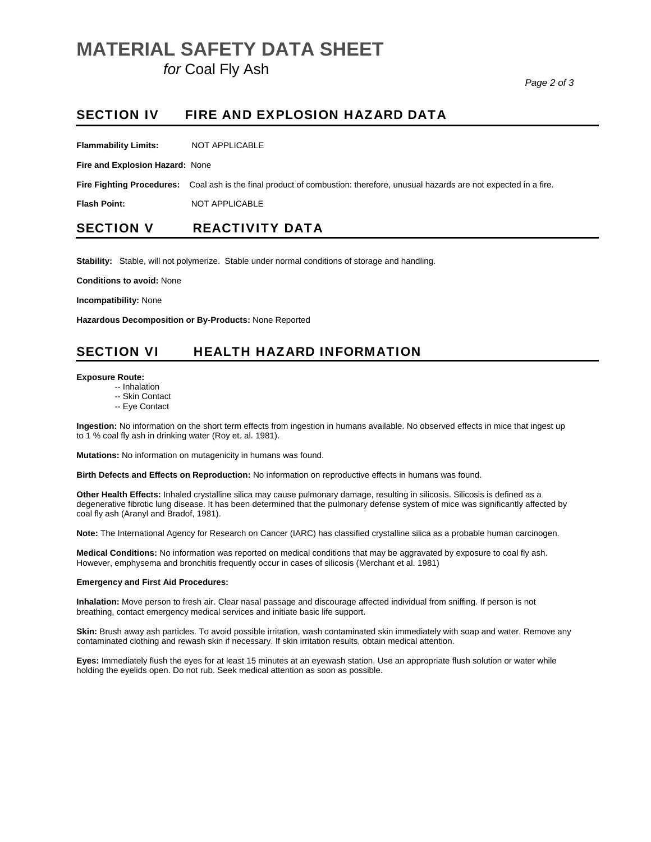# **MATERIAL SAFETY DATA SHEET**

 *for* Coal Fly Ash

#### SECTION IV FIRE AND EXPLOSION HAZARD DATA

**Flammability Limits:** NOT APPLICABLE

**Fire and Explosion Hazard:** None

**Fire Fighting Procedures:** Coal ash is the final product of combustion: therefore, unusual hazards are not expected in a fire.

**Flash Point:** NOT APPLICABLE

### SECTION V REACTIVITY DATA

**Stability:** Stable, will not polymerize. Stable under normal conditions of storage and handling.

**Conditions to avoid:** None

**Incompatibility:** None

**Hazardous Decomposition or By-Products:** None Reported

## SECTION VI HEALTH HAZARD INFORMATION

#### **Exposure Route:**

- -- Inhalation
- -- Skin Contact
- -- Eye Contact

**Ingestion:** No information on the short term effects from ingestion in humans available. No observed effects in mice that ingest up to 1 % coal fly ash in drinking water (Roy et. al. 1981).

**Mutations:** No information on mutagenicity in humans was found.

**Birth Defects and Effects on Reproduction:** No information on reproductive effects in humans was found.

**Other Health Effects:** Inhaled crystalline silica may cause pulmonary damage, resulting in silicosis. Silicosis is defined as a degenerative fibrotic lung disease. It has been determined that the pulmonary defense system of mice was significantly affected by coal fly ash (Aranyl and Bradof, 1981).

**Note:** The International Agency for Research on Cancer (IARC) has classified crystalline silica as a probable human carcinogen.

**Medical Conditions:** No information was reported on medical conditions that may be aggravated by exposure to coal fly ash. However, emphysema and bronchitis frequently occur in cases of silicosis (Merchant et al. 1981)

#### **Emergency and First Aid Procedures:**

**Inhalation:** Move person to fresh air. Clear nasal passage and discourage affected individual from sniffing. If person is not breathing, contact emergency medical services and initiate basic life support.

**Skin:** Brush away ash particles. To avoid possible irritation, wash contaminated skin immediately with soap and water. Remove any contaminated clothing and rewash skin if necessary. If skin irritation results, obtain medical attention.

**Eyes:** Immediately flush the eyes for at least 15 minutes at an eyewash station. Use an appropriate flush solution or water while holding the eyelids open. Do not rub. Seek medical attention as soon as possible.